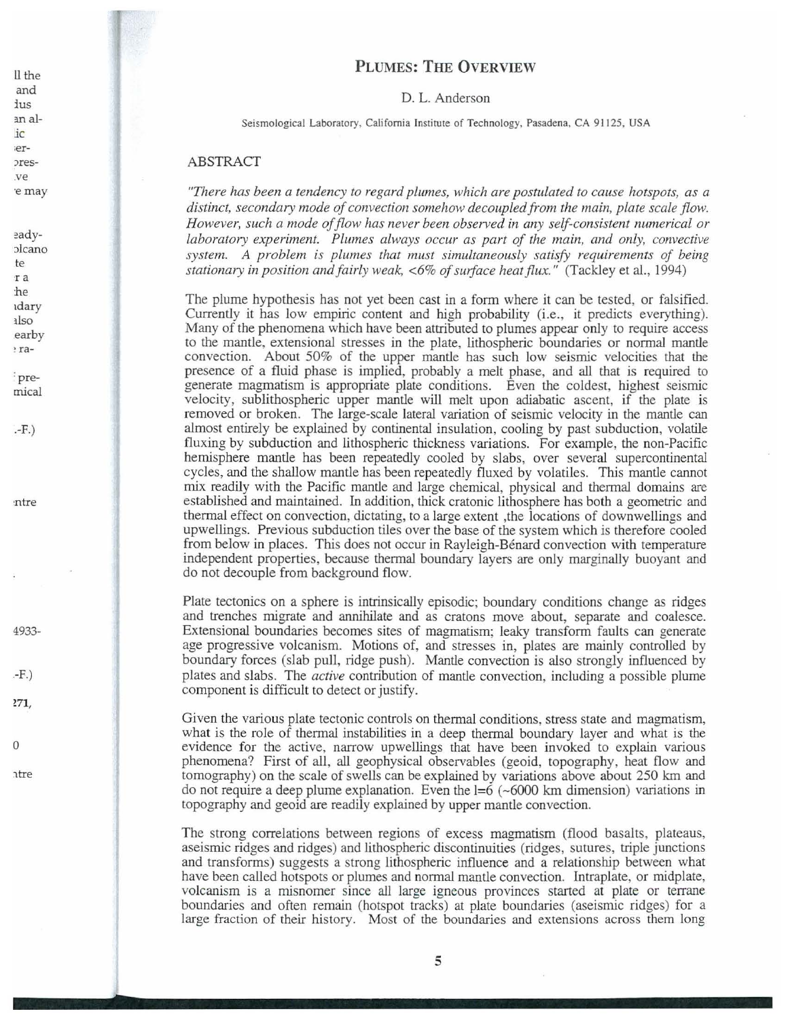## **PLUMES: THE OVERVIEW**

### D. L. Anderson

Seismological Laboratory, California Institute of Technology, Pasadena, CA 91125, USA

## **ABSTRACT**

"There has been a tendency to regard plumes, which are postulated to cause hotspots, as a distinct, secondary mode of convection somehow decoupled from the main, plate scale flow. However, such a mode of flow has never been observed in any self-consistent numerical or laboratory experiment. Plumes always occur as part of the main, and only, convective system. A problem is plumes that must simultaneously satisfy requirements of being stationary in position and fairly weak, <6% of surface heat flux." (Tackley et al., 1994)

The plume hypothesis has not yet been cast in a form where it can be tested, or falsified. Currently it has low empiric content and high probability (i.e., it predicts everything). Many of the phenomena which have been attributed to plumes appear only to require access to the mantle, extensional stresses in the plate, lithospheric boundaries or normal mantle convection. About 50% of the upper mantle has such low seismic velocities that the presence of a fluid phase is implied, probably a melt phase, and all that is required to generate magmatism is appropriate plate conditions. Even the coldest, highest seismic velocity, sublithospheric upper mantle will melt upon adiabatic ascent, if the plate is removed or broken. The large-scale lateral variation of seismic velocity in the mantle can almost entirely be explained by continental insulation, cooling by past subduction, volatile fluxing by subduction and lithospheric thickness variations. For example, the non-Pacific hemisphere mantle has been repeatedly cooled by slabs, over several supercontinental cycles, and the shallow mantle has been repeatedly fluxed by volatiles. This mantle cannot mix readily with the Pacific mantle and large chemical, physical and thermal domains are established and maintained. In addition, thick cratonic lithosphere has both a geometric and thermal effect on convection, dictating, to a large extent, the locations of downwellings and upwellings. Previous subduction tiles over the base of the system which is therefore cooled from below in places. This does not occur in Rayleigh-Bénard convection with temperature independent properties, because thermal boundary layers are only marginally buoyant and do not decouple from background flow.

Plate tectonics on a sphere is intrinsically episodic; boundary conditions change as ridges and trenches migrate and annihilate and as cratons move about, separate and coalesce. Extensional boundaries becomes sites of magmatism; leaky transform faults can generate age progressive volcanism. Motions of, and stresses in, plates are mainly controlled by boundary forces (slab pull, ridge push). Mantle convection is also strongly influenced by plates and slabs. The *active* contribution of mantle convection, including a possible plume component is difficult to detect or justify.

Given the various plate tectonic controls on thermal conditions, stress state and magmatism, what is the role of thermal instabilities in a deep thermal boundary layer and what is the evidence for the active, narrow upwellings that have been invoked to explain various phenomena? First of all, all geophysical observables (geoid, topography, heat flow and tomography) on the scale of swells can be explained by variations above about 250 km and do not require a deep plume explanation. Even the  $l=6$  (~6000 km dimension) variations in topography and geoid are readily explained by upper mantle convection.

The strong correlations between regions of excess magmatism (flood basalts, plateaus, assismic ridges and ridges) and lithospheric discontinuities (ridges, sutures, triple junctions and transforms) suggests a strong lithospheric influence and a relationship between what have been called hotspots or plumes and normal mantle convection. Intraplate, or midplate, volcanism is a misnomer since all large igneous provinces started at plate or terrane boundaries and often remain (hotspot tracks) at plate boundaries (aseismic ridges) for a large fraction of their history. Most of the boundaries and extensions across them long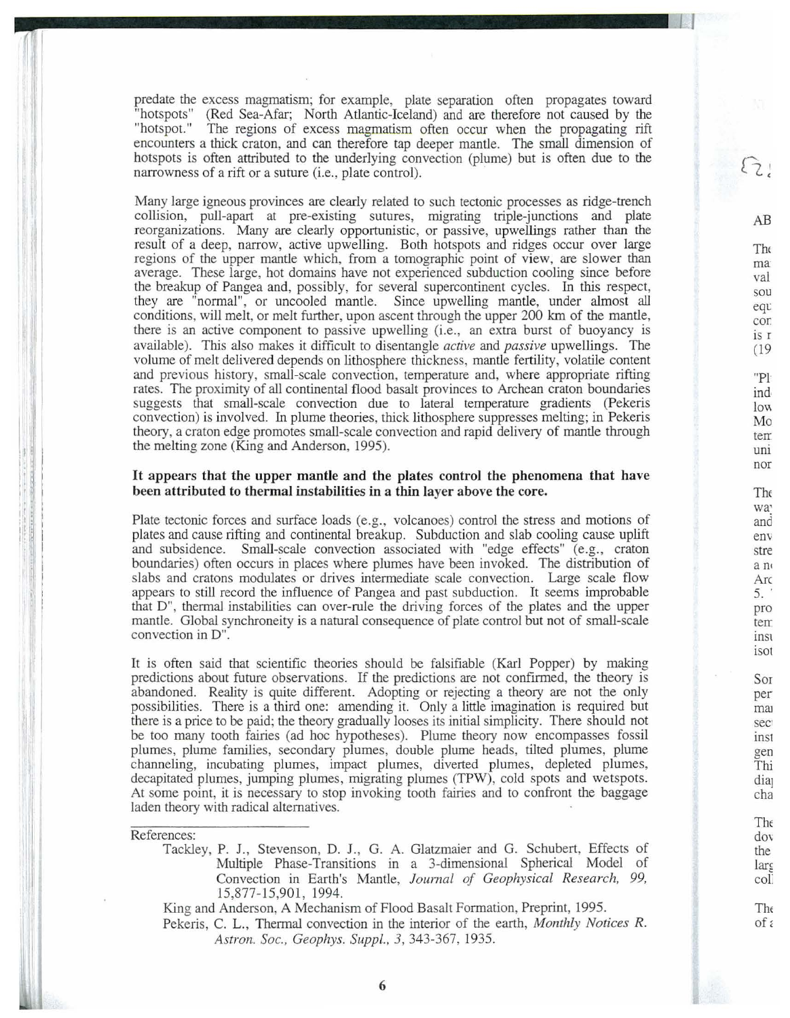predate the excess magmatism; for example, plate separation often propagates toward "hotspots" (Red Sea-Afar; North Atlantic-Iceland) and are therefore not caused by the (Red Sea-Afar; North Atlantic-Iceland) and are therefore not caused by the "hotspot." The regions of excess magmatism often occur when the propagating rift encounters a thick craton, and can therefore tap deeper mantle. The small dimension of hotspots is often attributed to the underlying convection (plume) but is often due to the narrowness of a rift or a suture (i.e., plate control).

Many large igneous provinces are clearly related to such tectonic processes as ridge-trench collision, pull-apart at pre-existing sutures, migrating triple-junctions and plate reorganizations. Many are clearly opportunistic, or passive, upwellings rather than the result of a deep, narrow, active upwelling. Both hotspots and ridges occur over large regions of the upper mantle which, from a tomographic point of view, are slower than average. These large, hot domains have not experienced subduction cooling since before the breakup of Pangea and, possibly, for several supercontinent cycles. In this respect, they are "normal", or uncooled mantle. Since upwelling mantle, under almost all conditions, will *melt,* or melt further, upon ascent through the upper 200 km of the mantle, there is an active component to passive upwelling (i.e., an extra burst of buoyancy is available). This also makes it difficult to disentangle *active* and *passive* upwellings. The volume of melt delivered depends on lithosphere thickness, mantle fertility, volatile content and previous history, small-scale convection, temperature and, where appropriate rifting rates. The proximity of all continental flood basalt provinces to Archean craton boundaries suggests that small-scale convection due to lateral temperature gradients (Pekeris convection) is involved. In plume theories, thick lithosphere suppresses melting; in Pekeris theory, a craton edge promotes small-scale convection and rapid delivery of mantle through the melting zone (King and Anderson, 1995).

## **It appears that the upper mantle and the plates control the phenomena that have been attributed to thermal instabilities in a thin layer above the core.**

Plate tectonic forces and surface loads (e.g., volcanoes) control the stress and motions of plates and cause rifting and continental breakup. Subduction and slab cooling cause uplift and subsidence. Small-scale convection associated with "edge effects" (e.g., craton boundaries) often occurs in places where plumes have been invoked. The distribution of slabs and cratons modulates or drives intermediate scale convection. Large scale flow appears to still record the influence of Pangea and past subduction. It seems improbable that D", thermal instabilities can over-rule the driving forces of the plates and the upper mantle. Global synchroneity is a natural consequence of plate control but not of small-scale convection in D".

It is often said that scientific theories should be falsifiable (Kari Popper) by making predictions about future observations. If the predictions are not confirmed, the theory is abandoned. Reality is quite different. Adopting or rejecting a theory are not the only possibilities. There is a third one: amending it. Only a little imagination is required but there is a price to be paid; the theory gradually looses its initial simplicity. There should not be too many tooth fairies (ad hoc hypotheses). Plume theory now encompasses fossil plumes, plume families, secondary plumes, double plume heads, tilted plumes, plume channeling, incubating plumes, impact plumes, diverted plumes, depleted plumes, decapitated plumes, jumping plumes, migrating plumes (TPW), cold spots and wetspots. At some point, it is necessary to stop invoking tooth fairies and to confront the baggage laden theory with radical alternatives.

### References:

Tackiey, P. J., Stevenson, D. J., G. A. Glatzmaier and G. Schubert, Effects of Multiple Phase-Transitions in a 3-dimensional Spherical Model of Convection in Earth's Mantle, *Joumal of Geophysical Research, 99,*  15,877-15,901, 1994.

King and Anderson, A Mechanism of Flood Basalt Formation, Preprint, 1995.

Pekeris, C. L., Thermal convection in the interior of the earth, *Monthly Notices R. Astron. Soc., Geophys. Suppl., 3,* 343-367, 1935.